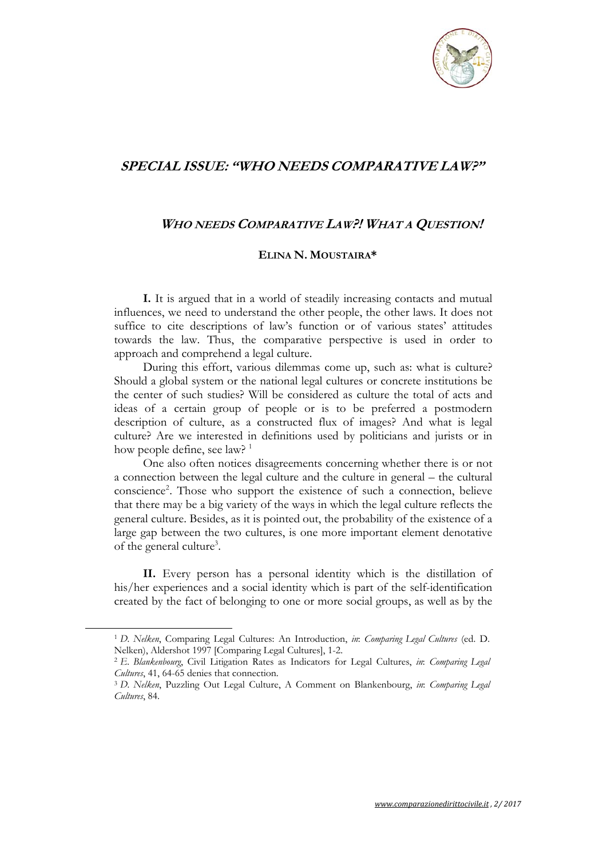

## **SPECIAL ISSUE: "WHO NEEDS COMPARATIVE LAW?"**

## **WHO NEEDS COMPARATIVE LAW?! WHAT A QUESTION!**

## **ELINA N. MOUSTAIRA\***

**I.** It is argued that in a world of steadily increasing contacts and mutual influences, we need to understand the other people, the other laws. It does not suffice to cite descriptions of law's function or of various states' attitudes towards the law. Thus, the comparative perspective is used in order to approach and comprehend a legal culture.

During this effort, various dilemmas come up, such as: what is culture? Should a global system or the national legal cultures or concrete institutions be the center of such studies? Will be considered as culture the total of acts and ideas of a certain group of people or is to be preferred a postmodern description of culture, as a constructed flux of images? And what is legal culture? Are we interested in definitions used by politicians and jurists or in how people define, see law?<sup>1</sup>

One also often notices disagreements concerning whether there is or not a connection between the legal culture and the culture in general – the cultural conscience<sup>2</sup>. Those who support the existence of such a connection, believe that there may be a big variety of the ways in which the legal culture reflects the general culture. Besides, as it is pointed out, the probability of the existence of a large gap between the two cultures, is one more important element denotative of the general culture<sup>3</sup>.

**II.** Every person has a personal identity which is the distillation of his/her experiences and a social identity which is part of the self-identification created by the fact of belonging to one or more social groups, as well as by the

<sup>1</sup> *D. Nelken*, Comparing Legal Cultures: An Introduction, *in*: *Comparing Legal Cultures* (ed. D. Nelken), Aldershot 1997 [Comparing Legal Cultures], 1-2. 2 *E. Blankenbourg*, Civil Litigation Rates as Indicators for Legal Cultures, *in*: *Comparing Legal* 

*Cultures*, 41, 64-65 denies that connection. 3 *D. Nelken*, Puzzling Out Legal Culture, A Comment on Blankenbourg, *in*: *Comparing Legal* 

*Cultures*, 84.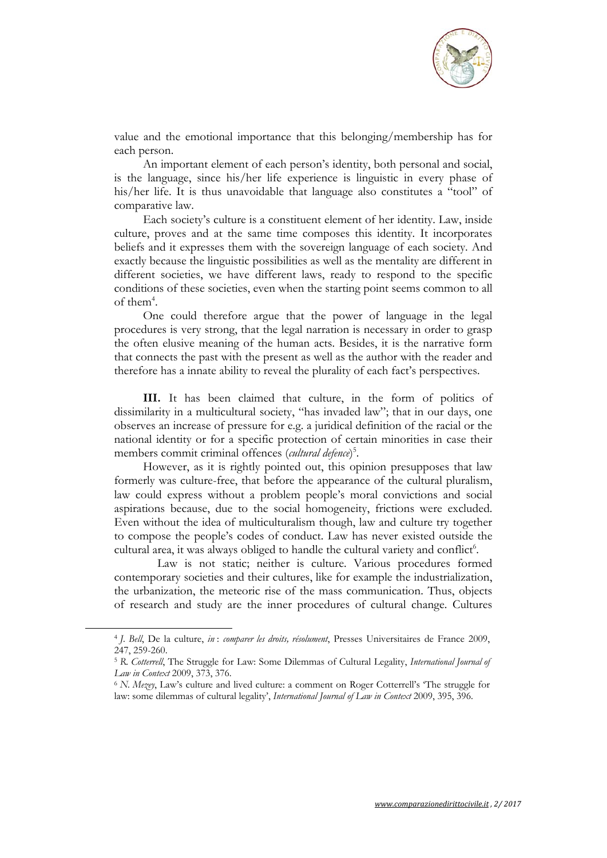

value and the emotional importance that this belonging/membership has for each person.

An important element of each person's identity, both personal and social, is the language, since his/her life experience is linguistic in every phase of his/her life. It is thus unavoidable that language also constitutes a "tool" of comparative law.

Each society's culture is a constituent element of her identity. Law, inside culture, proves and at the same time composes this identity. It incorporates beliefs and it expresses them with the sovereign language of each society. And exactly because the linguistic possibilities as well as the mentality are different in different societies, we have different laws, ready to respond to the specific conditions of these societies, even when the starting point seems common to all of them<sup>4</sup>.

One could therefore argue that the power of language in the legal procedures is very strong, that the legal narration is necessary in order to grasp the often elusive meaning of the human acts. Besides, it is the narrative form that connects the past with the present as well as the author with the reader and therefore has a innate ability to reveal the plurality of each fact's perspectives.

**III.** It has been claimed that culture, in the form of politics of dissimilarity in a multicultural society, "has invaded law"; that in our days, one observes an increase of pressure for e.g. a juridical definition of the racial or the national identity or for a specific protection of certain minorities in case their members commit criminal offences (*cultural defence*) 5 .

However, as it is rightly pointed out, this opinion presupposes that law formerly was culture-free, that before the appearance of the cultural pluralism, law could express without a problem people's moral convictions and social aspirations because, due to the social homogeneity, frictions were excluded. Even without the idea of multiculturalism though, law and culture try together to compose the people's codes of conduct. Law has never existed outside the cultural area, it was always obliged to handle the cultural variety and conflict<sup>6</sup>.

 Law is not static; neither is culture. Various procedures formed contemporary societies and their cultures, like for example the industrialization, the urbanization, the meteoric rise of the mass communication. Thus, objects of research and study are the inner procedures of cultural change. Cultures

<sup>4</sup> *J. Bell*, De la culture, *in* : *comparer les droits, résolument*, Presses Universitaires de France 2009, 247, 259-260.

<sup>5</sup> *R. Cotterrell*, The Struggle for Law: Some Dilemmas of Cultural Legality, *International Journal of Law in Context* 2009, 373, 376.<br><sup>6</sup> *N. Mezey*, Law's culture and lived culture: a comment on Roger Cotterrell's 'The struggle for

law: some dilemmas of cultural legality', *International Journal of Law in Context* 2009, 395, 396.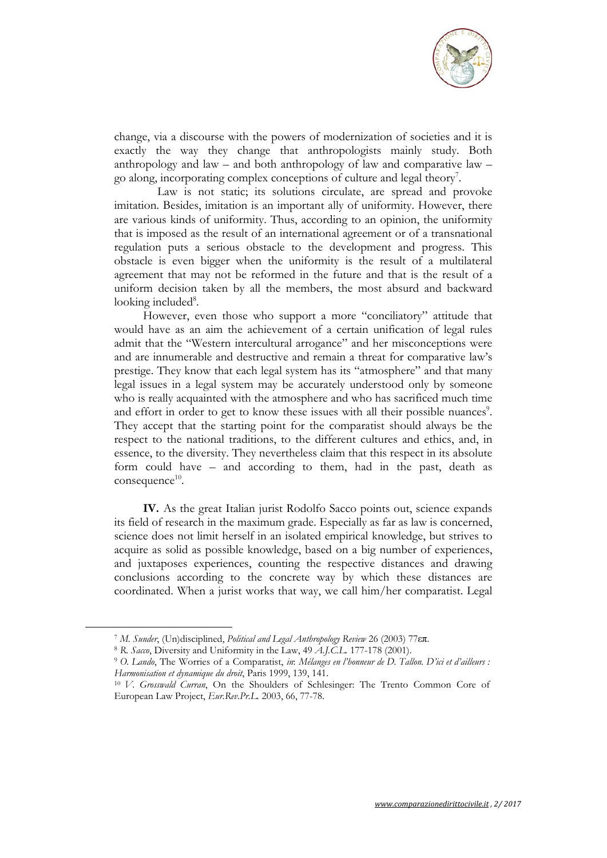

change, via a discourse with the powers of modernization of societies and it is exactly the way they change that anthropologists mainly study. Both anthropology and law – and both anthropology of law and comparative law – go along, incorporating complex conceptions of culture and legal theory<sup>7</sup>.

 Law is not static; its solutions circulate, are spread and provoke imitation. Besides, imitation is an important ally of uniformity. However, there are various kinds of uniformity. Thus, according to an opinion, the uniformity that is imposed as the result of an international agreement or of a transnational regulation puts a serious obstacle to the development and progress. This obstacle is even bigger when the uniformity is the result of a multilateral agreement that may not be reformed in the future and that is the result of a uniform decision taken by all the members, the most absurd and backward looking included<sup>8</sup>.

However, even those who support a more "conciliatory" attitude that would have as an aim the achievement of a certain unification of legal rules admit that the "Western intercultural arrogance" and her misconceptions were and are innumerable and destructive and remain a threat for comparative law's prestige. They know that each legal system has its "atmosphere" and that many legal issues in a legal system may be accurately understood only by someone who is really acquainted with the atmosphere and who has sacrificed much time and effort in order to get to know these issues with all their possible nuances<sup>9</sup>. They accept that the starting point for the comparatist should always be the respect to the national traditions, to the different cultures and ethics, and, in essence, to the diversity. They nevertheless claim that this respect in its absolute form could have – and according to them, had in the past, death as  $consequence<sup>10</sup>$ .

**IV.** As the great Italian jurist Rodolfo Sacco points out, science expands its field of research in the maximum grade. Especially as far as law is concerned, science does not limit herself in an isolated empirical knowledge, but strives to acquire as solid as possible knowledge, based on a big number of experiences, and juxtaposes experiences, counting the respective distances and drawing conclusions according to the concrete way by which these distances are coordinated. When a jurist works that way, we call him/her comparatist. Legal

<sup>&</sup>lt;sup>7</sup> M. Sunder, (Un)disciplined, *Political and Legal Anthropology Review* 26 (2003) 77 $\epsilon \pi$ .<br><sup>8</sup> R. Sacco, Diversity and Uniformity in the Law, 49 A.J.C.L. 177-178 (2001).<br><sup>9</sup> O. Lando, The Worries of a Comparatist, in: M

<sup>&</sup>lt;sup>10</sup> *V. Grosswald Curran*, On the Shoulders of Schlesinger: The Trento Common Core of European Law Project, *Eur.Rev.Pr.L.* 2003, 66, 77-78.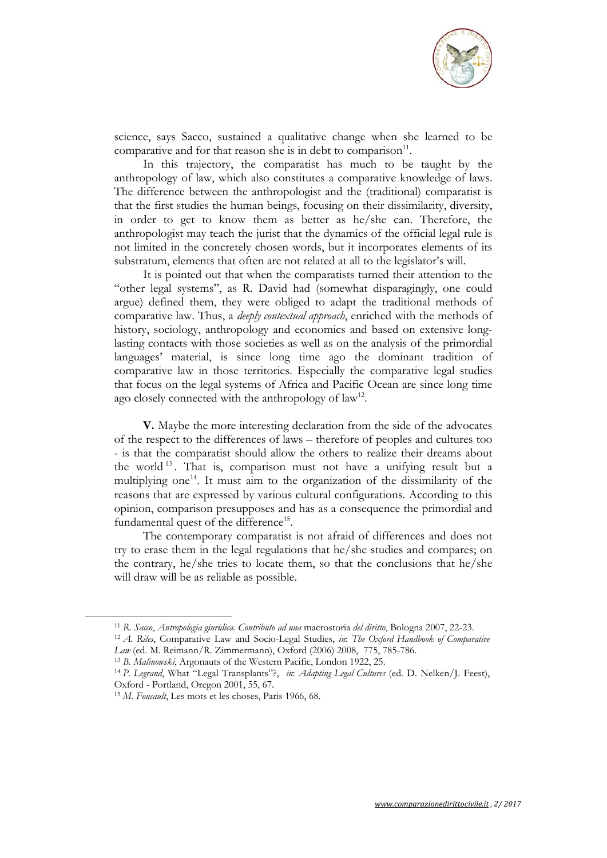

science, says Sacco, sustained a qualitative change when she learned to be comparative and for that reason she is in debt to comparison<sup>11</sup>.

In this trajectory, the comparatist has much to be taught by the anthropology of law, which also constitutes a comparative knowledge of laws. The difference between the anthropologist and the (traditional) comparatist is that the first studies the human beings, focusing on their dissimilarity, diversity, in order to get to know them as better as he/she can. Therefore, the anthropologist may teach the jurist that the dynamics of the official legal rule is not limited in the concretely chosen words, but it incorporates elements of its substratum, elements that often are not related at all to the legislator's will.

It is pointed out that when the comparatists turned their attention to the "other legal systems", as R. David had (somewhat disparagingly, one could argue) defined them, they were obliged to adapt the traditional methods of comparative law. Thus, a *deeply contextual approach*, enriched with the methods of history, sociology, anthropology and economics and based on extensive longlasting contacts with those societies as well as on the analysis of the primordial languages' material, is since long time ago the dominant tradition of comparative law in those territories. Especially the comparative legal studies that focus on the legal systems of Africa and Pacific Ocean are since long time ago closely connected with the anthropology of  $law<sup>12</sup>$ .

**V.** Maybe the more interesting declaration from the side of the advocates of the respect to the differences of laws – therefore of peoples and cultures too - is that the comparatist should allow the others to realize their dreams about the world <sup>13</sup> . That is, comparison must not have a unifying result but a multiplying one<sup>14</sup>. It must aim to the organization of the dissimilarity of the reasons that are expressed by various cultural configurations. According to this opinion, comparison presupposes and has as a consequence the primordial and fundamental quest of the difference<sup>15</sup>.

The contemporary comparatist is not afraid of differences and does not try to erase them in the legal regulations that he/she studies and compares; on the contrary, he/she tries to locate them, so that the conclusions that he/she will draw will be as reliable as possible.

<sup>&</sup>lt;sup>11</sup> R. Sacco, Antropologia giuridica. Contributo ad una macrostoria del diritto, Bologna 2007, 22-23.<br><sup>12</sup> A. Riles, Comparative Law and Socio-Legal Studies, in: The Oxford Handbook of Comparative

Law (ed. M. Reimann/R. Zimmermann), Oxford (2006) 2008, 775, 785-786.<br><sup>13</sup> B. *Malinowski*, Argonauts of the Western Pacific, London 1922, 25.<br><sup>14</sup> P. Legrand, What "Legal Transplants"?, *in: Adapting Legal Cultures* (ed. Oxford - Portland, Oregon 2001, 55, 67. 15 *M. Foucault*, Les mots et les choses, Paris 1966, 68.